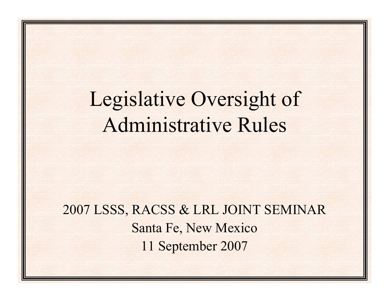# Legislative Oversight of Administrative Rules

2007 LSSS, RACSS & LRL JOINT SEMINAR Santa Fe, New Mexico 11 September 2007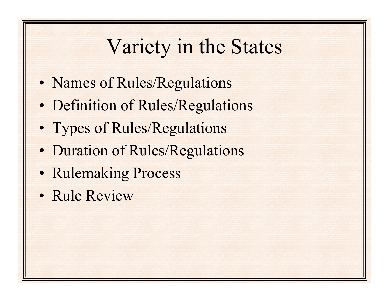## Variety in the States

- Names of Rules/Regulations
- Definition of Rules/Regulations
- Types of Rules/Regulations
- Duration of Rules/Regulations
- Rulemaking Process
- Rule Review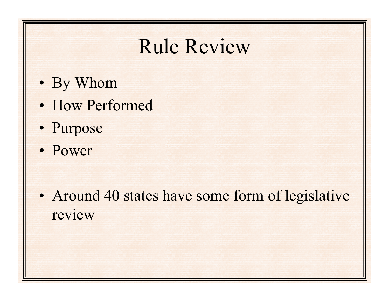#### Rule Review

- By Whom
- How Performed
- Purpose
- Power

• Around 40 states have some form of legislative review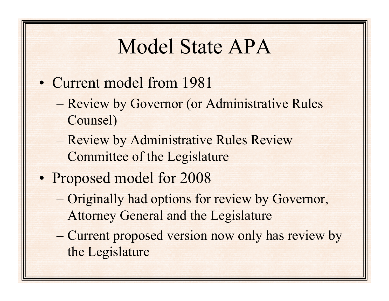## Model State APA

- Current model from 1981
	- – Review by Governor (or Administrative Rules Counsel)
	- – Review by Administrative Rules Review Committee of the Legislature
- Proposed model for 2008
	- – Originally had options for review by Governor, Attorney General and the Legislature
	- – Current proposed version now only has review by the Legislature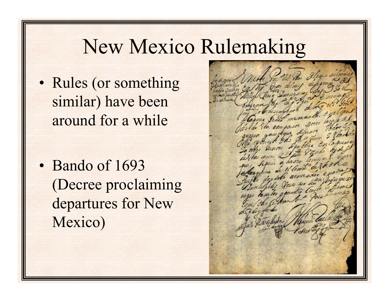### New Mexico Rulemaking

• Rules (or something similar) have been around for a while

• Bando of 1693 (Decree proclaiming departures for New Mexico)

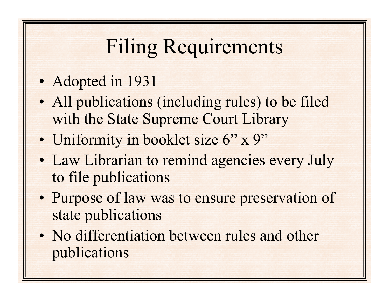# Filing Requirements

#### • Adopted in 1931

- All publications (including rules) to be filed with the State Supreme Court Library
- Uniformity in booklet size 6" x 9"
- Law Librarian to remind agencies every July to file publications
- Purpose of law was to ensure preservation of state publications
- No differentiation between rules and other publications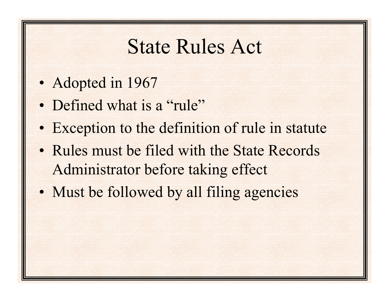### State Rules Act

- Adopted in 1967
- Defined what is a "rule"
- Exception to the definition of rule in statute
- Rules must be filed with the State Records Administrator before taking effect
- Must be followed by all filing agencies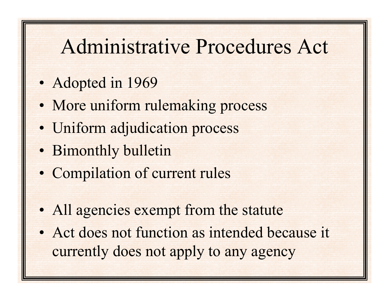### Administrative Procedures Act

- Adopted in 1969
- More uniform rulemaking process
- Uniform adjudication process
- Bimonthly bulletin
- Compilation of current rules
- All agencies exempt from the statute
- Act does not function as intended because it currently does not apply to any agency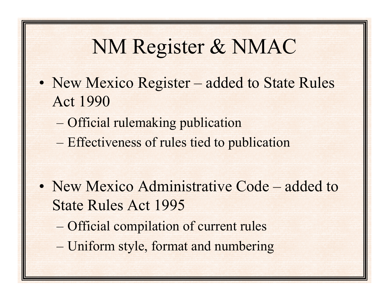## NM Register & NMAC

- New Mexico Register added to State Rules Act 1990
	- –Official rulemaking publication
	- and the contract of the contract of Effectiveness of rules tied to publication

- New Mexico Administrative Code added to State Rules Act 1995
	- –Official compilation of current rules
	- $-$ Uniform style, format and numbering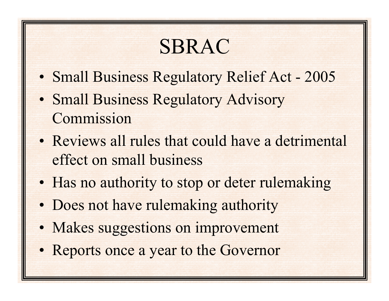# SBRAC

- Small Business Regulatory Relief Act 2005
- Small Business Regulatory Advisory Commission
- Reviews all rules that could have a detrimental effect on small business
- Has no authority to stop or deter rulemaking
- Does not have rulemaking authority
- Makes suggestions on improvement
- Reports once a year to the Governor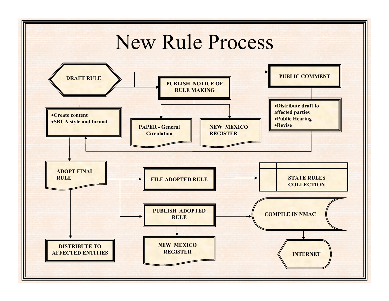#### New Rule Process